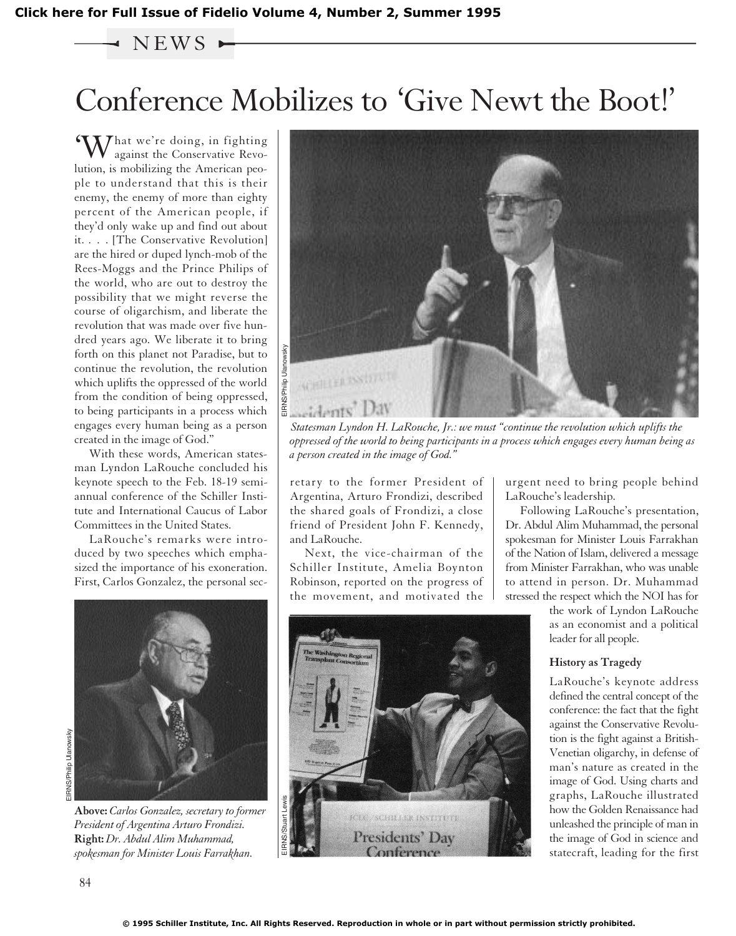### $\rightarrow$  NEWS  $\rightarrow$

# Conference Mobilizes to 'Give Newt the Boot!'

'What we're doing, in fighting against the Conservative Revolution, is mobilizing the American people to understand that this is their enemy, the enemy of more than eighty percent of the American people, if they'd only wake up and find out about it. . . . [The Conservative Revolution] are the hired or duped lynch-mob of the Rees-Moggs and the Prince Philips of the world, who are out to destroy the possibility that we might reverse the course of oligarchism, and liberate the revolution that was made over five hundred years ago. We liberate it to bring forth on this planet not Paradise, but to continue the revolution, the revolution which uplifts the oppressed of the world from the condition of being oppressed, to being participants in a process which engages every human being as a person created in the image of God."

With these words, American statesman Lyndon LaRouche concluded his keynote speech to the Feb. 18-19 semiannual conference of the Schiller Institute and International Caucus of Labor Committees in the United States.

LaRouche's remarks were introduced by two speeches which emphasized the importance of his exoneration. First, Carlos Gonzalez, the personal sec-



**Above:** *Carlos Gonzalez, secretary to former President of Argentina Arturo Frondizi.* **Right:** *Dr. Abdul Alim Muhammad, spokesman for Minister Louis Farrakhan.*



*oppressed of the world to being participants in a process which engages every human being as a person created in the image of God."*

retary to the former President of Argentina, Arturo Frondizi, described the shared goals of Frondizi, a close friend of President John F. Kennedy, and LaRouche.

Next, the vice-chairman of the Schiller Institute, Amelia Boynton Robinson, reported on the progress of the movement, and motivated the



urgent need to bring people behind LaRouche's leadership.

Following LaRouche's presentation, Dr. Abdul Alim Muhammad, the personal spokesman for Minister Louis Farrakhan of the Nation of Islam, delivered a message from Minister Farrakhan, who was unable to attend in person. Dr. Muhammad stressed the respect which the NOI has for

> the work of Lyndon LaRouche as an economist and a political leader for all people.

#### **History as Tragedy**

LaRouche's keynote address defined the central concept of the conference: the fact that the fight against the Conservative Revolution is the fight against a British-Venetian oligarchy, in defense of man's nature as created in the image of God. Using charts and graphs, LaRouche illustrated how the Golden Renaissance had unleashed the principle of man in the image of God in science and statecraft, leading for the first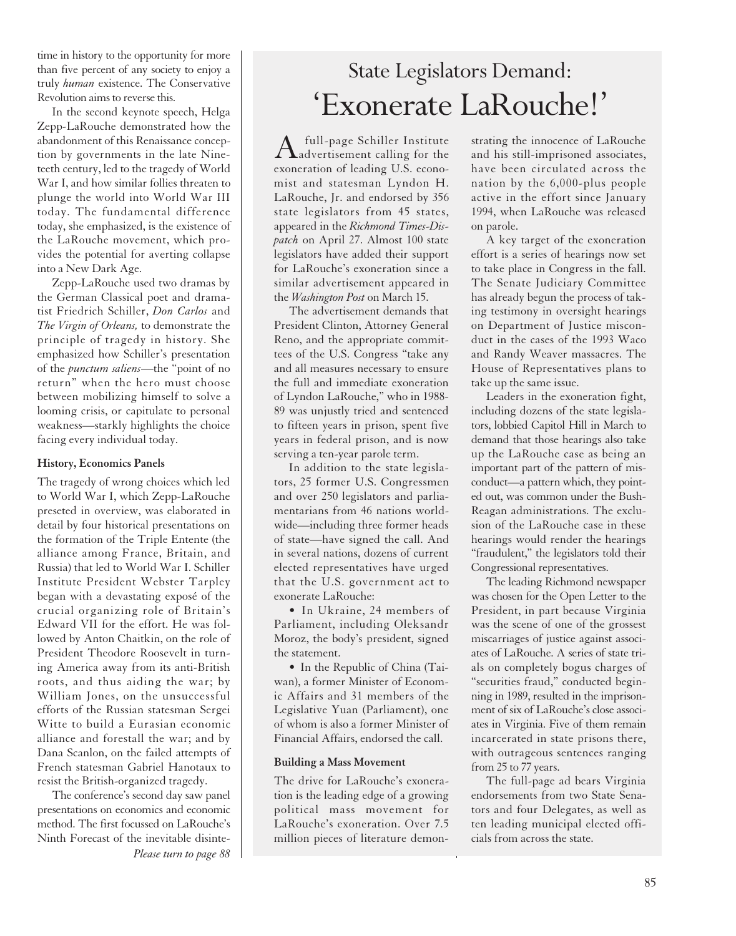time in history to the opportunity for more than five percent of any society to enjoy a truly *human* existence. The Conservative Revolution aims to reverse this.

In the second keynote speech, Helga Zepp-LaRouche demonstrated how the abandonment of this Renaissance conception by governments in the late Nineteeth century, led to the tragedy of World War I, and how similar follies threaten to plunge the world into World War III today. The fundamental difference today, she emphasized, is the existence of the LaRouche movement, which provides the potential for averting collapse into a New Dark Age.

Zepp-LaRouche used two dramas by the German Classical poet and dramatist Friedrich Schiller, *Don Carlos* and *The Virgin of Orleans,* to demonstrate the principle of tragedy in history. She emphasized how Schiller's presentation of the *punctum saliens*—the "point of no return" when the hero must choose between mobilizing himself to solve a looming crisis, or capitulate to personal weakness—starkly highlights the choice facing every individual today.

#### **History, Economics Panels**

The tragedy of wrong choices which led to World War I, which Zepp-LaRouche preseted in overview, was elaborated in detail by four historical presentations on the formation of the Triple Entente (the alliance among France, Britain, and Russia) that led to World War I. Schiller Institute President Webster Tarpley began with a devastating exposé of the crucial organizing role of Britain's Edward VII for the effort. He was followed by Anton Chaitkin, on the role of President Theodore Roosevelt in turning America away from its anti-British roots, and thus aiding the war; by William Jones, on the unsuccessful efforts of the Russian statesman Sergei Witte to build a Eurasian economic alliance and forestall the war; and by Dana Scanlon, on the failed attempts of French statesman Gabriel Hanotaux to resist the British-organized tragedy.

The conference's second day saw panel presentations on economics and economic method. The first focussed on LaRouche's Ninth Forecast of the inevitable disinte-*Please turn to page 88*

## State Legislators Demand: 'Exonerate LaRouche!'

A full-page Schiller Institute<br>advertisement calling for the exoneration of leading U.S. economist and statesman Lyndon H. LaRouche, Jr. and endorsed by 356 state legislators from 45 states, appeared in the *Richmond Times-Dispatch* on April 27. Almost 100 state legislators have added their support for LaRouche's exoneration since a similar advertisement appeared in the *Washington Post* on March 15.

The advertisement demands that President Clinton, Attorney General Reno, and the appropriate committees of the U.S. Congress "take any and all measures necessary to ensure the full and immediate exoneration of Lyndon LaRouche," who in 1988- 89 was unjustly tried and sentenced to fifteen years in prison, spent five years in federal prison, and is now serving a ten-year parole term.

In addition to the state legislators, 25 former U.S. Congressmen and over 250 legislators and parliamentarians from 46 nations worldwide—including three former heads of state—have signed the call. And in several nations, dozens of current elected representatives have urged that the U.S. government act to exonerate LaRouche:

• In Ukraine, 24 members of Parliament, including Oleksandr Moroz, the body's president, signed the statement.

• In the Republic of China (Taiwan), a former Minister of Economic Affairs and 31 members of the Legislative Yuan (Parliament), one of whom is also a former Minister of Financial Affairs, endorsed the call.

#### **Building a Mass Movement**

The drive for LaRouche's exoneration is the leading edge of a growing political mass movement for LaRouche's exoneration. Over 7.5 million pieces of literature demonstrating the innocence of LaRouche and his still-imprisoned associates, have been circulated across the nation by the 6,000-plus people active in the effort since January 1994, when LaRouche was released on parole.

A key target of the exoneration effort is a series of hearings now set to take place in Congress in the fall. The Senate Judiciary Committee has already begun the process of taking testimony in oversight hearings on Department of Justice misconduct in the cases of the 1993 Waco and Randy Weaver massacres. The House of Representatives plans to take up the same issue.

Leaders in the exoneration fight, including dozens of the state legislators, lobbied Capitol Hill in March to demand that those hearings also take up the LaRouche case as being an important part of the pattern of misconduct—a pattern which, they pointed out, was common under the Bush-Reagan administrations. The exclusion of the LaRouche case in these hearings would render the hearings "fraudulent," the legislators told their Congressional representatives.

The leading Richmond newspaper was chosen for the Open Letter to the President, in part because Virginia was the scene of one of the grossest miscarriages of justice against associates of LaRouche. A series of state trials on completely bogus charges of "securities fraud," conducted beginning in 1989, resulted in the imprisonment of six of LaRouche's close associates in Virginia. Five of them remain incarcerated in state prisons there, with outrageous sentences ranging from 25 to 77 years.

The full-page ad bears Virginia endorsements from two State Senators and four Delegates, as well as ten leading municipal elected officials from across the state.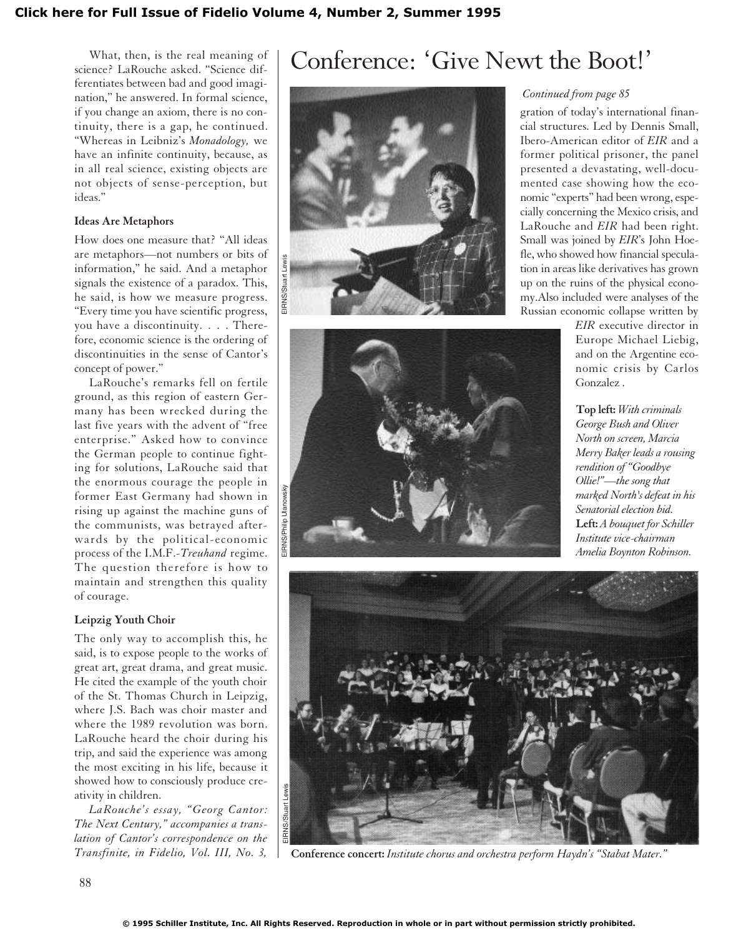What, then, is the real meaning of science? LaRouche asked. "Science differentiates between bad and good imagination," he answered. In formal science, if you change an axiom, there is no continuity, there is a gap, he continued. "Whereas in Leibniz's *Monadology,* we have an infinite continuity, because, as in all real science, existing objects are not objects of sense-perception, but ideas."

#### **Ideas Are Metaphors**

How does one measure that? "All ideas are metaphors—not numbers or bits of information," he said. And a metaphor signals the existence of a paradox. This, he said, is how we measure progress. "Every time you have scientific progress, you have a discontinuity. . . . Therefore, economic science is the ordering of discontinuities in the sense of Cantor's concept of power."

LaRouche's remarks fell on fertile ground, as this region of eastern Germany has been wrecked during the last five years with the advent of "free enterprise." Asked how to convince the German people to continue fighting for solutions, LaRouche said that the enormous courage the people in former East Germany had shown in rising up against the machine guns of the communists, was betrayed afterwards by the political-economic process of the I.M.F.-*Treuhand* regime. The question therefore is how to maintain and strengthen this quality of courage.

#### **Leipzig Youth Choir**

The only way to accomplish this, he said, is to expose people to the works of great art, great drama, and great music. He cited the example of the youth choir of the St. Thomas Church in Leipzig, where J.S. Bach was choir master and where the 1989 revolution was born. LaRouche heard the choir during his trip, and said the experience was among the most exciting in his life, because it showed how to consciously produce creativity in children.

*LaRouche's essay, "Georg Cantor: The Next Century," accompanies a translation of Cantor's correspondence on the Transfinite, in Fidelio, Vol. III, No. 3,*

### Conference: 'Give Newt the Boot!'





#### *Continued from page 85*

gration of today's international financial structures. Led by Dennis Small, Ibero-American editor of *EIR* and a former political prisoner, the panel presented a devastating, well-documented case showing how the economic "experts" had been wrong, especially concerning the Mexico crisis, and LaRouche and *EIR* had been right. Small was joined by *EIR*'s John Hoefle, who showed how financial speculation in areas like derivatives has grown up on the ruins of the physical economy.Also included were analyses of the Russian economic collapse written by

*EIR* executive director in Europe Michael Liebig, and on the Argentine economic crisis by Carlos Gonzalez .

**Top left:** *With criminals George Bush and Oliver North on screen, Marcia Merry Baker leads a rousing rendition of "Goodbye Ollie!"—the song that marked North's defeat in his Senatorial election bid.*  **Left:** *A bouquet for Schiller Institute vice-chairman Amelia Boynton Robinson.*



**Conference concert:** *Institute chorus and orchestra perform Haydn's "Stabat Mater."*